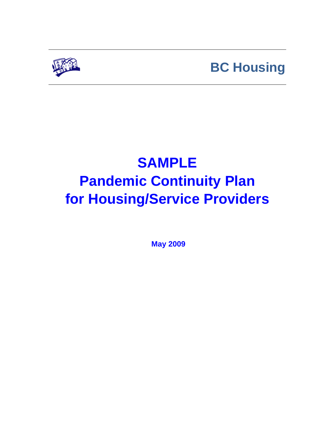

# **BC Housing**

# **SAMPLE Pandemic Continuity Plan for Housing/Service Providers**

**May 2009**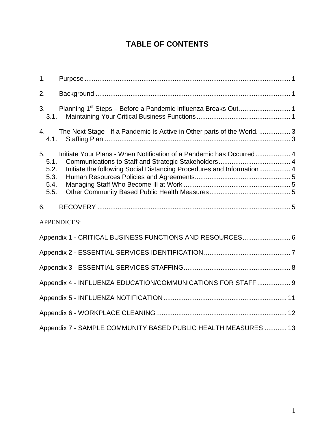# **TABLE OF CONTENTS**

| 1 <sub>1</sub>                             |                                                                                                                                               |  |  |  |
|--------------------------------------------|-----------------------------------------------------------------------------------------------------------------------------------------------|--|--|--|
| 2.                                         |                                                                                                                                               |  |  |  |
| 3.<br>3.1.                                 |                                                                                                                                               |  |  |  |
| 4.<br>4.1.                                 | The Next Stage - If a Pandemic Is Active in Other parts of the World.  3                                                                      |  |  |  |
| 5.<br>5.1.<br>5.2.<br>5.3.<br>5.4.<br>5.5. | Initiate Your Plans - When Notification of a Pandemic has Occurred 4<br>Initiate the following Social Distancing Procedures and Information 4 |  |  |  |
| 6.                                         |                                                                                                                                               |  |  |  |
|                                            | APPENDICES:                                                                                                                                   |  |  |  |
|                                            | Appendix 1 - CRITICAL BUSINESS FUNCTIONS AND RESOURCES 6                                                                                      |  |  |  |
|                                            |                                                                                                                                               |  |  |  |
|                                            |                                                                                                                                               |  |  |  |
|                                            | Appendix 4 - INFLUENZA EDUCATION/COMMUNICATIONS FOR STAFF  9                                                                                  |  |  |  |
|                                            |                                                                                                                                               |  |  |  |
|                                            |                                                                                                                                               |  |  |  |
|                                            | Appendix 7 - SAMPLE COMMUNITY BASED PUBLIC HEALTH MEASURES  13                                                                                |  |  |  |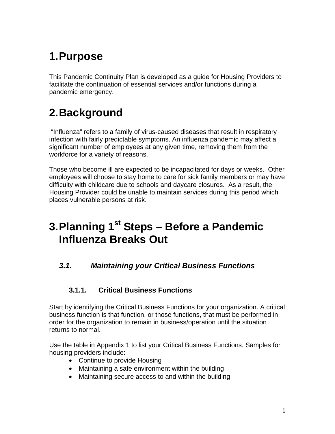# **1.Purpose**

This Pandemic Continuity Plan is developed as a guide for Housing Providers to facilitate the continuation of essential services and/or functions during a pandemic emergency.

# **2.Background**

"Influenza" refers to a family of virus-caused diseases that result in respiratory infection with fairly predictable symptoms. An influenza pandemic may affect a significant number of employees at any given time, removing them from the workforce for a variety of reasons.

Those who become ill are expected to be incapacitated for days or weeks. Other employees will choose to stay home to care for sick family members or may have difficulty with childcare due to schools and daycare closures. As a result, the Housing Provider could be unable to maintain services during this period which places vulnerable persons at risk.

# **3.Planning 1st Steps – Before a Pandemic Influenza Breaks Out**

### *3.1. Maintaining your Critical Business Functions*

#### **3.1.1. Critical Business Functions**

Start by identifying the Critical Business Functions for your organization. A critical business function is that function, or those functions, that must be performed in order for the organization to remain in business/operation until the situation returns to normal.

Use the table in Appendix 1 to list your Critical Business Functions. Samples for housing providers include:

- Continue to provide Housing
- Maintaining a safe environment within the building
- Maintaining secure access to and within the building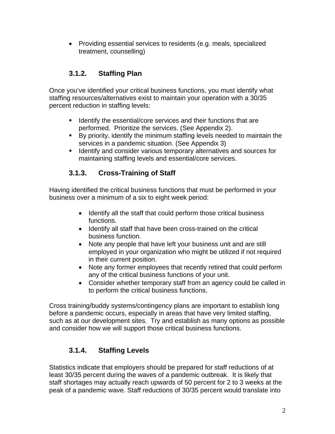• Providing essential services to residents (e.g. meals, specialized treatment, counselling)

### **3.1.2. Staffing Plan**

Once you've identified your critical business functions, you must identify what staffing resources/alternatives exist to maintain your operation with a 30/35 percent reduction in staffing levels:

- **If Identify the essential/core services and their functions that are** performed. Prioritize the services. (See Appendix 2).
- By priority, identify the minimum staffing levels needed to maintain the services in a pandemic situation. (See Appendix 3)
- **If Identify and consider various temporary alternatives and sources for** maintaining staffing levels and essential/core services.

### **3.1.3. Cross-Training of Staff**

Having identified the critical business functions that must be performed in your business over a minimum of a six to eight week period:

- Identify all the staff that could perform those critical business functions.
- Identify all staff that have been cross-trained on the critical business function.
- Note any people that have left your business unit and are still employed in your organization who might be utilized if not required in their current position.
- Note any former employees that recently retired that could perform any of the critical business functions of your unit.
- Consider whether temporary staff from an agency could be called in to perform the critical business functions.

Cross training/buddy systems/contingency plans are important to establish long before a pandemic occurs, especially in areas that have very limited staffing, such as at our development sites. Try and establish as many options as possible and consider how we will support those critical business functions.

### **3.1.4. Staffing Levels**

Statistics indicate that employers should be prepared for staff reductions of at least 30/35 percent during the waves of a pandemic outbreak. It is likely that staff shortages may actually reach upwards of 50 percent for 2 to 3 weeks at the peak of a pandemic wave. Staff reductions of 30/35 percent would translate into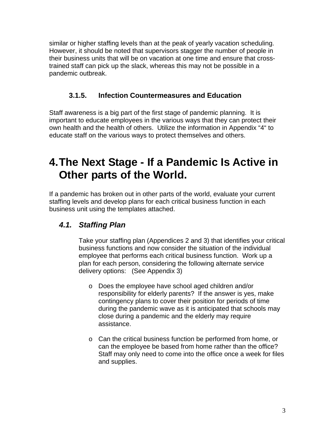similar or higher staffing levels than at the peak of yearly vacation scheduling. However, it should be noted that supervisors stagger the number of people in their business units that will be on vacation at one time and ensure that crosstrained staff can pick up the slack, whereas this may not be possible in a pandemic outbreak.

#### **3.1.5. Infection Countermeasures and Education**

Staff awareness is a big part of the first stage of pandemic planning. It is important to educate employees in the various ways that they can protect their own health and the health of others. Utilize the information in Appendix "4" to educate staff on the various ways to protect themselves and others.

# **4.The Next Stage - If a Pandemic Is Active in Other parts of the World.**

If a pandemic has broken out in other parts of the world, evaluate your current staffing levels and develop plans for each critical business function in each business unit using the templates attached.

### *4.1. Staffing Plan*

Take your staffing plan (Appendices 2 and 3) that identifies your critical business functions and now consider the situation of the individual employee that performs each critical business function. Work up a plan for each person, considering the following alternate service delivery options: (See Appendix 3)

- o Does the employee have school aged children and/or responsibility for elderly parents? If the answer is yes, make contingency plans to cover their position for periods of time during the pandemic wave as it is anticipated that schools may close during a pandemic and the elderly may require assistance.
- o Can the critical business function be performed from home, or can the employee be based from home rather than the office? Staff may only need to come into the office once a week for files and supplies.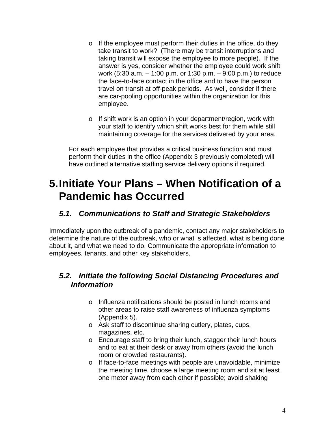- o If the employee must perform their duties in the office, do they take transit to work? (There may be transit interruptions and taking transit will expose the employee to more people). If the answer is yes, consider whether the employee could work shift work (5:30 a.m. – 1:00 p.m. or 1:30 p.m. – 9:00 p.m.) to reduce the face-to-face contact in the office and to have the person travel on transit at off-peak periods. As well, consider if there are car-pooling opportunities within the organization for this employee.
- o If shift work is an option in your department/region, work with your staff to identify which shift works best for them while still maintaining coverage for the services delivered by your area.

For each employee that provides a critical business function and must perform their duties in the office (Appendix 3 previously completed) will have outlined alternative staffing service delivery options if required.

# **5.Initiate Your Plans – When Notification of a Pandemic has Occurred**

#### *5.1. Communications to Staff and Strategic Stakeholders*

Immediately upon the outbreak of a pandemic, contact any major stakeholders to determine the nature of the outbreak, who or what is affected, what is being done about it, and what we need to do. Communicate the appropriate information to employees, tenants, and other key stakeholders.

#### *5.2. Initiate the following Social Distancing Procedures and Information*

- o Influenza notifications should be posted in lunch rooms and other areas to raise staff awareness of influenza symptoms (Appendix 5).
- o Ask staff to discontinue sharing cutlery, plates, cups, magazines, etc.
- o Encourage staff to bring their lunch, stagger their lunch hours and to eat at their desk or away from others (avoid the lunch room or crowded restaurants).
- o If face-to-face meetings with people are unavoidable, minimize the meeting time, choose a large meeting room and sit at least one meter away from each other if possible; avoid shaking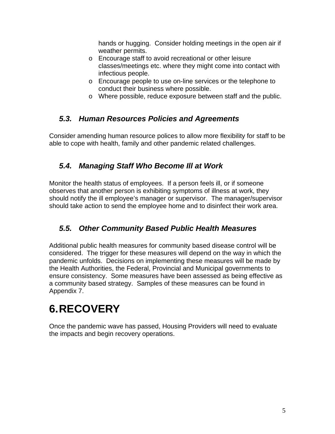hands or hugging. Consider holding meetings in the open air if weather permits.

- o Encourage staff to avoid recreational or other leisure classes/meetings etc. where they might come into contact with infectious people.
- o Encourage people to use on-line services or the telephone to conduct their business where possible.
- o Where possible, reduce exposure between staff and the public.

### *5.3. Human Resources Policies and Agreements*

Consider amending human resource polices to allow more flexibility for staff to be able to cope with health, family and other pandemic related challenges.

### *5.4. Managing Staff Who Become Ill at Work*

Monitor the health status of employees. If a person feels ill, or if someone observes that another person is exhibiting symptoms of illness at work, they should notify the ill employee's manager or supervisor. The manager/supervisor should take action to send the employee home and to disinfect their work area.

# *5.5. Other Community Based Public Health Measures*

Additional public health measures for community based disease control will be considered. The trigger for these measures will depend on the way in which the pandemic unfolds. Decisions on implementing these measures will be made by the Health Authorities, the Federal, Provincial and Municipal governments to ensure consistency. Some measures have been assessed as being effective as a community based strategy. Samples of these measures can be found in Appendix 7.

# **6.RECOVERY**

Once the pandemic wave has passed, Housing Providers will need to evaluate the impacts and begin recovery operations.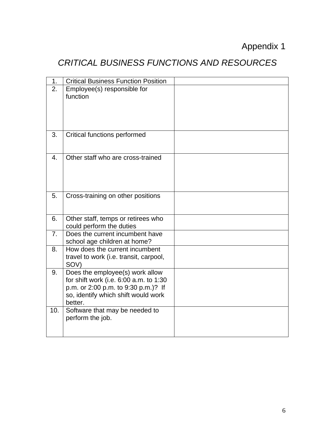# Appendix 1

# *CRITICAL BUSINESS FUNCTIONS AND RESOURCES*

| 1.  | <b>Critical Business Function Position</b>                                                                                                                         |  |
|-----|--------------------------------------------------------------------------------------------------------------------------------------------------------------------|--|
| 2.  | Employee(s) responsible for<br>function                                                                                                                            |  |
| 3.  | <b>Critical functions performed</b>                                                                                                                                |  |
| 4.  | Other staff who are cross-trained                                                                                                                                  |  |
| 5.  | Cross-training on other positions                                                                                                                                  |  |
| 6.  | Other staff, temps or retirees who<br>could perform the duties                                                                                                     |  |
| 7.  | Does the current incumbent have<br>school age children at home?                                                                                                    |  |
| 8.  | How does the current incumbent<br>travel to work (i.e. transit, carpool,<br>SOV)                                                                                   |  |
| 9.  | Does the employee(s) work allow<br>for shift work (i.e. 6:00 a.m. to 1:30<br>p.m. or 2:00 p.m. to 9:30 p.m.)? If<br>so, identify which shift would work<br>better. |  |
| 10. | Software that may be needed to<br>perform the job.                                                                                                                 |  |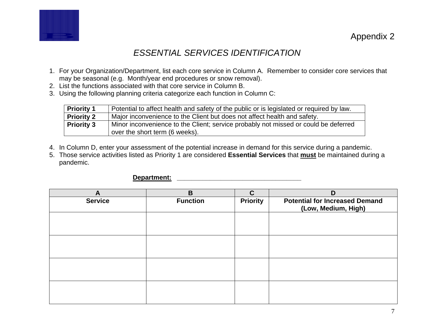

## *ESSENTIAL SERVICES IDENTIFICATION*

- 1. For your Organization/Department, list each core service in Column A. Remember to consider core services that may be seasonal (e.g. Month/year end procedures or snow removal).
- 2. List the functions associated with that core service in Column B.
- 3. Using the following planning criteria categorize each function in Column C:

| Potential to affect health and safety of the public or is legislated or required by law. |
|------------------------------------------------------------------------------------------|
|                                                                                          |
| Minor inconvenience to the Client; service probably not missed or could be deferred      |
|                                                                                          |

- 4. In Column D, enter your assessment of the potential increase in demand for this service during a pandemic.
- 5. Those service activities listed as Priority 1 are considered **Essential Services** that **must** be maintained during a pandemic.

#### **Department: \_\_\_\_\_\_\_\_\_\_\_\_\_\_\_\_\_\_\_\_\_\_\_\_\_\_\_\_\_\_\_\_\_\_**

| A              | B               | $\mathbf C$     | D                                                            |
|----------------|-----------------|-----------------|--------------------------------------------------------------|
| <b>Service</b> | <b>Function</b> | <b>Priority</b> | <b>Potential for Increased Demand</b><br>(Low, Medium, High) |
|                |                 |                 |                                                              |
|                |                 |                 |                                                              |
|                |                 |                 |                                                              |
|                |                 |                 |                                                              |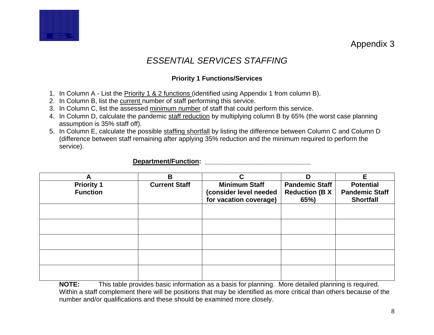Appendix 3

# *ESSENTIAL SERVICES STAFFING*

#### **Priority 1 Functions/Services**

- 1. In Column A List the Priority 1 & 2 functions (identified using Appendix 1 from column B).
- 2. In Column B, list the current number of staff performing this service.
- 3. In Column C, list the assessed minimum number of staff that could perform this service.
- 4. In Column D, calculate the pandemic staff reduction by multiplying column B by 65% (the worst case planning assumption is 35% staff off).
- 5. In Column E, calculate the possible staffing shortfall by listing the difference between Column C and Column D (difference between staff remaining after applying 35% reduction and the minimum required to perform the service).

#### **Department/Function: \_\_\_\_\_\_\_\_\_\_\_\_\_\_\_\_\_\_\_\_\_\_\_\_\_\_\_\_\_**

| A                 | B                    | C                      | D                     | Е                     |
|-------------------|----------------------|------------------------|-----------------------|-----------------------|
| <b>Priority 1</b> | <b>Current Staff</b> | <b>Minimum Staff</b>   | <b>Pandemic Staff</b> | <b>Potential</b>      |
| <b>Function</b>   |                      | (consider level needed | <b>Reduction (B X</b> | <b>Pandemic Staff</b> |
|                   |                      | for vacation coverage) | 65%)                  | <b>Shortfall</b>      |
|                   |                      |                        |                       |                       |
|                   |                      |                        |                       |                       |
|                   |                      |                        |                       |                       |
|                   |                      |                        |                       |                       |
|                   |                      |                        |                       |                       |
|                   |                      |                        |                       |                       |
|                   |                      |                        |                       |                       |
|                   |                      |                        |                       |                       |
|                   |                      |                        |                       |                       |
|                   |                      |                        |                       |                       |

**NOTE:** This table provides basic information as a basis for planning. More detailed planning is required. Within a staff complement there will be positions that may be identified as more critical than others because of the number and/or qualifications and these should be examined more closely.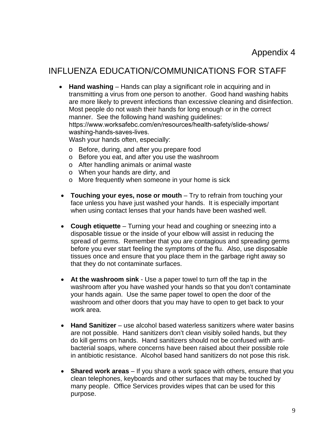## INFLUENZA EDUCATION/COMMUNICATIONS FOR STAFF

• **Hand washing** – Hands can play a significant role in acquiring and in transmitting a virus from one person to another. Good hand washing habits are more likely to prevent infections than excessive cleaning and disinfection. Most people do not wash their hands for long enough or in the correct manner. See the following hand washing guidelines: [https://www.worksafebc.com/en/resources/health-safety/slide-shows/](https://www.worksafebc.com/en/resources/health-safety/slide-shows/washing-hands-saves-lives) washing-hands-saves-lives. Wash your hands often, especially:

o Before, during, and after you prepare food

- o Before you eat, and after you use the washroom
- o After handling animals or animal waste
- o When your hands are dirty, and
- o More frequently when someone in your home is sick
- **Touching your eyes, nose or mouth** Try to refrain from touching your face unless you have just washed your hands. It is especially important when using contact lenses that your hands have been washed well.
- **Cough etiquette** Turning your head and coughing or sneezing into a disposable tissue or the inside of your elbow will assist in reducing the spread of germs. Remember that you are contagious and spreading germs before you ever start feeling the symptoms of the flu. Also, use disposable tissues once and ensure that you place them in the garbage right away so that they do not contaminate surfaces.
- **At the washroom sink** Use a paper towel to turn off the tap in the washroom after you have washed your hands so that you don't contaminate your hands again. Use the same paper towel to open the door of the washroom and other doors that you may have to open to get back to your work area.
- **Hand Sanitizer** use alcohol based waterless sanitizers where water basins are not possible. Hand sanitizers don't clean visibly soiled hands, but they do kill germs on hands. Hand sanitizers should not be confused with antibacterial soaps, where concerns have been raised about their possible role in antibiotic resistance. Alcohol based hand sanitizers do not pose this risk.
- **Shared work areas** If you share a work space with others, ensure that you clean telephones, keyboards and other surfaces that may be touched by many people. Office Services provides wipes that can be used for this purpose.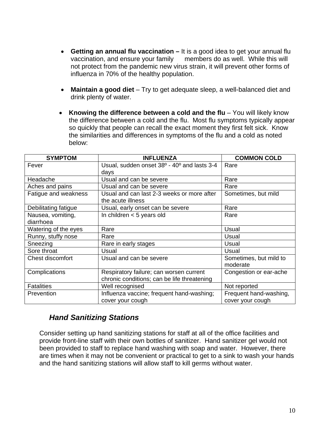- **Getting an annual flu vaccination –** It is a good idea to get your annual flu vaccination, and ensure your family members do as well. While this will not protect from the pandemic new virus strain, it will prevent other forms of influenza in 70% of the healthy population.
- **Maintain a good diet** Try to get adequate sleep, a well-balanced diet and drink plenty of water.
- **Knowing the difference between a cold and the flu** You will likely know the difference between a cold and the flu. Most flu symptoms typically appear so quickly that people can recall the exact moment they first felt sick. Know the similarities and differences in symptoms of the flu and a cold as noted below:

| <b>SYMPTOM</b>          | <b>INFLUENZA</b>                                                    | <b>COMMON COLD</b>     |
|-------------------------|---------------------------------------------------------------------|------------------------|
| Fever                   | Usual, sudden onset 38 <sup>o</sup> - 40 <sup>o</sup> and lasts 3-4 | Rare                   |
|                         | days                                                                |                        |
| Headache                | Usual and can be severe                                             | Rare                   |
| Aches and pains         | Usual and can be severe                                             | Rare                   |
| Fatigue and weakness    | Usual and can last 2-3 weeks or more after                          | Sometimes, but mild    |
|                         | the acute illness                                                   |                        |
| Debilitating fatigue    | Usual, early onset can be severe                                    | Rare                   |
| Nausea, vomiting,       | In children $<$ 5 years old                                         | Rare                   |
| diarrhoea               |                                                                     |                        |
| Watering of the eyes    | Rare                                                                | Usual                  |
| Runny, stuffy nose      | Rare                                                                | Usual                  |
| Sneezing                | Rare in early stages                                                | Usual                  |
| Sore throat             | Usual                                                               | Usual                  |
| <b>Chest discomfort</b> | Usual and can be severe                                             | Sometimes, but mild to |
|                         |                                                                     | moderate               |
| Complications           | Respiratory failure; can worsen current                             | Congestion or ear-ache |
|                         | chronic conditions; can be life threatening                         |                        |
| <b>Fatalities</b>       | Well recognised                                                     | Not reported           |
| Prevention              | Influenza vaccine; frequent hand-washing;                           | Frequent hand-washing, |
|                         | cover your cough                                                    | cover your cough       |

#### *Hand Sanitizing Stations*

Consider setting up hand sanitizing stations for staff at all of the office facilities and provide front-line staff with their own bottles of sanitizer. Hand sanitizer gel would not been provided to staff to replace hand washing with soap and water. However, there are times when it may not be convenient or practical to get to a sink to wash your hands and the hand sanitizing stations will allow staff to kill germs without water.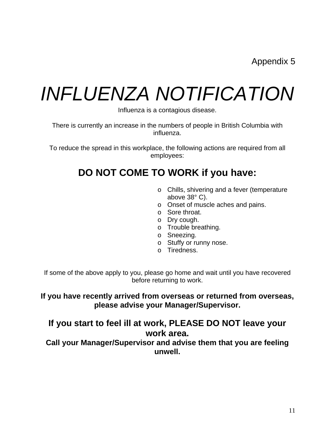Appendix 5

# *INFLUENZA NOTIFICATION*

Influenza is a contagious disease.

There is currently an increase in the numbers of people in British Columbia with influenza.

To reduce the spread in this workplace, the following actions are required from all employees:

# **DO NOT COME TO WORK if you have:**

- o Chills, shivering and a fever (temperature above 38° C).
- o Onset of muscle aches and pains.
- o Sore throat.
- o Dry cough.
- o Trouble breathing.
- o Sneezing.
- o Stuffy or runny nose.
- o Tiredness.

If some of the above apply to you, please go home and wait until you have recovered before returning to work.

#### **If you have recently arrived from overseas or returned from overseas, please advise your Manager/Supervisor.**

### **If you start to feel ill at work, PLEASE DO NOT leave your work area.**

**Call your Manager/Supervisor and advise them that you are feeling unwell.**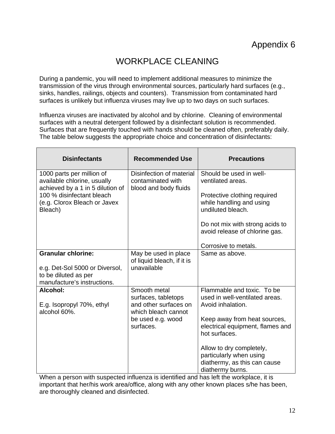# WORKPLACE CLEANING

During a pandemic, you will need to implement additional measures to minimize the transmission of the virus through environmental sources, particularly hard surfaces (e.g., sinks, handles, railings, objects and counters). Transmission from contaminated hard surfaces is unlikely but influenza viruses may live up to two days on such surfaces.

Influenza viruses are inactivated by alcohol and by chlorine. Cleaning of environmental surfaces with a neutral detergent followed by a disinfectant solution is recommended. Surfaces that are frequently touched with hands should be cleaned often, preferably daily. The table below suggests the appropriate choice and concentration of disinfectants:

| <b>Disinfectants</b>                                                                         | <b>Recommended Use</b>                                                              | <b>Precautions</b>                                                                                      |
|----------------------------------------------------------------------------------------------|-------------------------------------------------------------------------------------|---------------------------------------------------------------------------------------------------------|
| 1000 parts per million of<br>available chlorine, usually<br>achieved by a 1 in 5 dilution of | Disinfection of material<br>contaminated with<br>blood and body fluids              | Should be used in well-<br>ventilated areas.                                                            |
| 100 % disinfectant bleach<br>(e.g. Clorox Bleach or Javex<br>Bleach)                         |                                                                                     | Protective clothing required<br>while handling and using<br>undiluted bleach.                           |
|                                                                                              |                                                                                     |                                                                                                         |
|                                                                                              |                                                                                     | Do not mix with strong acids to<br>avoid release of chlorine gas.                                       |
|                                                                                              |                                                                                     | Corrosive to metals.                                                                                    |
| <b>Granular chlorine:</b>                                                                    | May be used in place<br>of liquid bleach, if it is                                  | Same as above.                                                                                          |
| e.g. Det-Sol 5000 or Diversol,                                                               | unavailable                                                                         |                                                                                                         |
| to be diluted as per<br>manufacture's instructions.                                          |                                                                                     |                                                                                                         |
| Alcohol:<br>E.g. Isopropyl 70%, ethyl<br>alcohol 60%.                                        | Smooth metal<br>surfaces, tabletops<br>and other surfaces on<br>which bleach cannot | Flammable and toxic. To be<br>used in well-ventilated areas.<br>Avoid inhalation.                       |
|                                                                                              | be used e.g. wood<br>surfaces.                                                      | Keep away from heat sources,<br>electrical equipment, flames and<br>hot surfaces.                       |
|                                                                                              |                                                                                     | Allow to dry completely,<br>particularly when using<br>diathermy, as this can cause<br>diathermy burns. |

When a person with suspected influenza is identified and has left the workplace, it is important that her/his work area/office, along with any other known places s/he has been, are thoroughly cleaned and disinfected.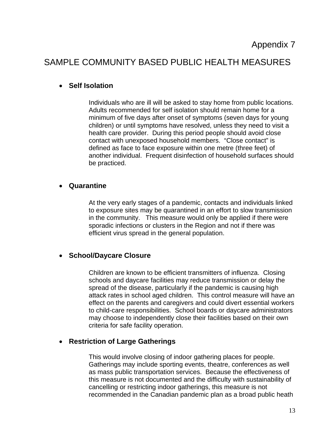## SAMPLE COMMUNITY BASED PUBLIC HEALTH MEASURES

#### • **Self Isolation**

Individuals who are ill will be asked to stay home from public locations. Adults recommended for self isolation should remain home for a minimum of five days after onset of symptoms (seven days for young children) or until symptoms have resolved, unless they need to visit a health care provider. During this period people should avoid close contact with unexposed household members. "Close contact" is defined as face to face exposure within one metre (three feet) of another individual. Frequent disinfection of household surfaces should be practiced.

#### • **Quarantine**

At the very early stages of a pandemic, contacts and individuals linked to exposure sites may be quarantined in an effort to slow transmission in the community. This measure would only be applied if there were sporadic infections or clusters in the Region and not if there was efficient virus spread in the general population.

#### • **School/Daycare Closure**

Children are known to be efficient transmitters of influenza. Closing schools and daycare facilities may reduce transmission or delay the spread of the disease, particularly if the pandemic is causing high attack rates in school aged children. This control measure will have an effect on the parents and caregivers and could divert essential workers to child-care responsibilities. School boards or daycare administrators may choose to independently close their facilities based on their own criteria for safe facility operation.

#### • **Restriction of Large Gatherings**

This would involve closing of indoor gathering places for people. Gatherings may include sporting events, theatre, conferences as well as mass public transportation services. Because the effectiveness of this measure is not documented and the difficulty with sustainability of cancelling or restricting indoor gatherings, this measure is not recommended in the Canadian pandemic plan as a broad public heath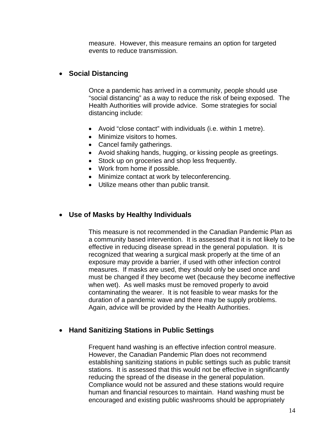measure. However, this measure remains an option for targeted events to reduce transmission.

#### • **Social Distancing**

Once a pandemic has arrived in a community, people should use "social distancing" as a way to reduce the risk of being exposed. The Health Authorities will provide advice. Some strategies for social distancing include:

- Avoid "close contact" with individuals (i.e. within 1 metre).
- Minimize visitors to homes.
- Cancel family gatherings.
- Avoid shaking hands, hugging, or kissing people as greetings.
- Stock up on groceries and shop less frequently.
- Work from home if possible.
- Minimize contact at work by teleconferencing.
- Utilize means other than public transit.

#### • **Use of Masks by Healthy Individuals**

This measure is not recommended in the Canadian Pandemic Plan as a community based intervention. It is assessed that it is not likely to be effective in reducing disease spread in the general population. It is recognized that wearing a surgical mask properly at the time of an exposure may provide a barrier, if used with other infection control measures. If masks are used, they should only be used once and must be changed if they become wet (because they become ineffective when wet). As well masks must be removed properly to avoid contaminating the wearer. It is not feasible to wear masks for the duration of a pandemic wave and there may be supply problems. Again, advice will be provided by the Health Authorities.

#### • **Hand Sanitizing Stations in Public Settings**

Frequent hand washing is an effective infection control measure. However, the Canadian Pandemic Plan does not recommend establishing sanitizing stations in public settings such as public transit stations. It is assessed that this would not be effective in significantly reducing the spread of the disease in the general population. Compliance would not be assured and these stations would require human and financial resources to maintain. Hand washing must be encouraged and existing public washrooms should be appropriately